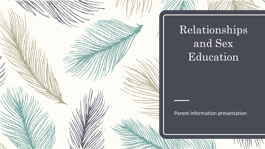

# Relationships and Sex Education

#### Parent information presentation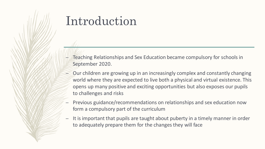## Introduction

- Teaching Relationships and Sex Education became compulsory for schools in September 2020.
- Our children are growing up in an increasingly complex and constantly changing world where they are expected to live both a physical and virtual existence. This opens up many positive and exciting opportunities but also exposes our pupils to challenges and risks
- Previous guidance/recommendations on relationships and sex education now form a compulsory part of the curriculum
- It is important that pupils are taught about puberty in a timely manner in order to adequately prepare them for the changes they will face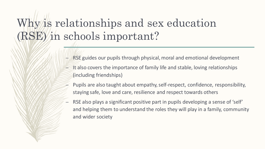# Why is relationships and sex education (RSE) in schools important?

- RSE guides our pupils through physical, moral and emotional development
- $\Box$ It also covers the importance of family life and stable, loving relationships (including friendships)
- Pupils are also taught about empathy, self-respect, confidence, responsibility, staying safe, love and care, resilience and respect towards others
- RSE also plays a significant positive part in pupils developing a sense of 'self' and helping them to understand the roles they will play in a family, community and wider society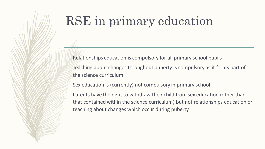# RSE in primary education

- Relationships education is compulsory for all primary school pupils
- Teaching about changes throughout puberty is compulsory as it forms part of the science curriculum
- Sex education is (currently) not compulsory in primary school
- Parents have the right to withdraw their child from sex education (other than that contained within the science curriculum) but not relationships education or teaching about changes which occur during puberty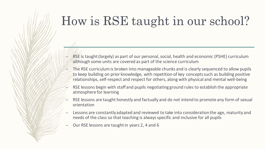# How is RSE taught in our school?

- RSE is taught (largely) as part of our personal, social, health and economic (PSHE) curriculum although some units are covered as part of the science curriculum
- The RSE curriculum is broken into manageable chunks and is clearly sequenced to allow pupils to keep building on prior knowledge, with repetition of key concepts such as building positive relationships, self-respect and respect for others, along with physical and mental well-being
- RSE lessons begin with staff and pupils negotiating ground rules to establish the appropriate atmosphere for learning
- RSE lessons are taught honestly and factually and do not intend to promote any form of sexual orientation
- Lessons are constantly adapted and reviewed to take into consideration the age, maturity and needs of the class so that teaching is always specific and inclusive for all pupils
- Our RSE lessons are taught in years 2, 4 and 6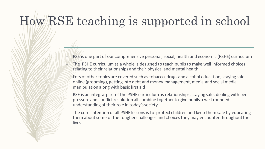# How RSE teaching is supported in school

- RSE is one part of our comprehensive personal, social, health and economic (PSHE) curriculum
- The PSHE curriculum as a whole is designed to teach pupils to make well informed choices relating to their relationships and their physical and mental health
- Lots of other topics are covered such as tobacco, drugs and alcohol education, staying safe online (grooming), getting into debt and money management, media and social media manipulation along with basic first aid
- RSE is an integral part of the PSHE curriculum as relationships, staying safe, dealing with peer pressure and conflict resolution all combine together to give pupils a well rounded understanding of their role in today's society
- The core intention of all PSHE lessons is to protect children and keep them safe by educating them about some of the tougher challenges and choices they may encounter throughout their lives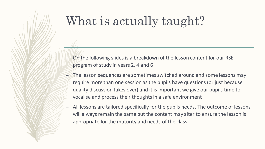# What is actually taught?

- On the following slides is a breakdown of the lesson content for our RSE program of study in years 2, 4 and 6
- The lesson sequences are sometimes switched around and some lessons may require more than one session as the pupils have questions (or just because quality discussion takes over) and it is important we give our pupils time to vocalise and process their thoughts in a safe environment
- All lessons are tailored specifically for the pupils needs. The outcome of lessons will always remain the same but the content may alter to ensure the lesson is appropriate for the maturity and needs of the class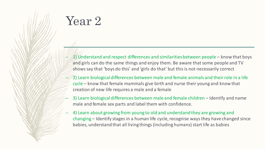# Year 2

- $\pm$  (1) Understand and respect differences and similarities between people know that boys and girls can do the same things and enjoy them. Be aware that some people and TV shows say that 'boys do this' and 'girls do that' but this is not necessarily correct
- 2) Learn biological differences between male and female animals and their role in a life cycle – know that female mammals give birth and nurse their young and know that creation of new life requires a male and a female
- 3) Learn biological differences between male and female children Identify and name male and female sex parts and label them with confidence.
- 4) Learn about growing from young to old and understand they are growing and changing – Identify stages in a human life cycle, recognise ways they have changed since babies, understand that all living things (including humans) start life as babies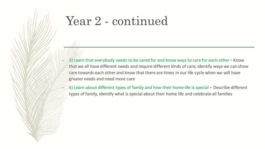## Year 2 - continued

- $-$  5) Learn that everybody needs to be cared for and know ways to care for each other Know that we all have different needs and require different kinds of care, identify ways we can show care towards each other and know that there are times in our life cycle when we will have greater needs and need more care
- 6) Learn about different types of family and how their home-life is special Describe different types of family, identify what is special about their home life and celebrate all families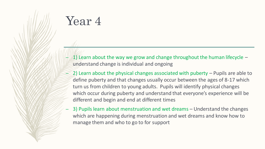## Year 4

- $-$  1) Learn about the way we grow and change throughout the human lifecycle  $$ understand change is individual and ongoing
- $(2)$  Learn about the physical changes associated with puberty  $-$  Pupils are able to define puberty and that changes usually occur between the ages of 8-17 which turn us from children to young adults. Pupils will identify physical changes which occur during puberty and understand that everyone's experience will be different and begin and end at different times
- 3) Pupils learn about menstruation and wet dreams Understand the changes which are happening during menstruation and wet dreams and know how to manage them and who to go to for support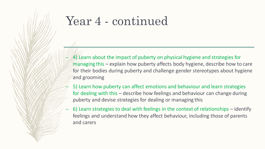#### Year 4 - continued

- $-$  4) Learn about the impact of puberty on physical hygiene and strategies for managing this – explain how puberty affects body hygiene, describe how to care for their bodies during puberty and challenge gender stereotypes about hygiene and grooming
- 5) Learn how puberty can affect emotions and behaviour and learn strategies for dealing with this – describe how feelings and behaviour can change during puberty and devise strategies for dealing or managing this
- 6) Learn strategies to deal with feelings in the context of relationships identify feelings and understand how they affect behaviour, including those of parents and carers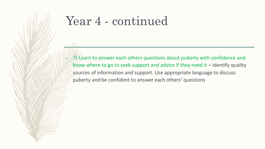#### Year 4 - continued

 $-$  7) Learn to answer each others questions about puberty with confidence and know where to go to seek support and advice if they need it  $-$  identify quality sources of information and support. Use appropriate language to discuss puberty and be confident to answer each others' questions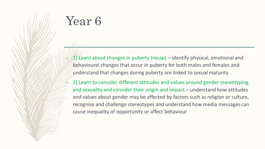# Year 6

- 1) Learn about changes in puberty (recap) identify physical, emotional and behavioural changes that occur in puberty for both males and females and understand that changes during puberty are linked to sexual maturity
- 2) Learn to consider different attitudes and values around gender stereotyping and sexuality and consider their origin and impact – understand how attitudes and values about gender may be affected by factors such as religion or culture, recognise and challenge stereotypes and understand how media messages can cause inequality of opportunity or affect behaviour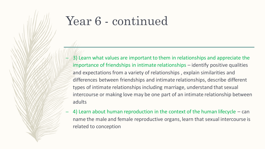## Year 6 - continued

- 3) Learn what values are important to them in relationships and appreciate the importance of friendships in intimate relationships – identify positive qualities and expectations from a variety of relationships , explain similarities and differences between friendships and intimate relationships, describe different types of intimate relationships including marriage, understand that sexual intercourse or making love may be one part of an intimate relationship between adults
- 4) Learn about human reproduction in the context of the human lifecycle  $-$  can name the male and female reproductive organs, learn that sexual intercourse is related to conception